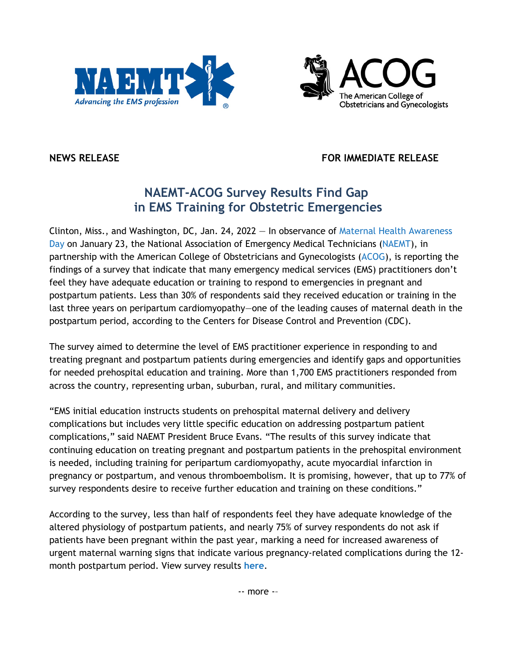



**NEWS RELEASE FOR IMMEDIATE RELEASE**

## **NAEMT-ACOG Survey Results Find Gap in EMS Training for Obstetric Emergencies**

Clinton, Miss., and Washington, DC, Jan. 24, 2022 — In observance of Maternal Health Awareness Day on January 23, the National Association of Emergency Medical Technicians (NAEMT), in partnership with the American College of Obstetricians and Gynecologists (ACOG), is reporting the findings of a survey that indicate that many emergency medical services (EMS) practitioners don't feel they have adequate education or training to respond to emergencies in pregnant and postpartum patients. Less than 30% of respondents said they received education or training in the last three years on peripartum cardiomyopathy—one of the leading causes of maternal death in the postpartum period, according to the Centers for Disease Control and Prevention (CDC).

The survey aimed to determine the level of EMS practitioner experience in responding to and treating pregnant and postpartum patients during emergencies and identify gaps and opportunities for needed prehospital education and training. More than 1,700 EMS practitioners responded from across the country, representing urban, suburban, rural, and military communities.

"EMS initial education instructs students on prehospital maternal delivery and delivery complications but includes very little specific education on addressing postpartum patient complications," said NAEMT President Bruce Evans. "The results of this survey indicate that continuing education on treating pregnant and postpartum patients in the prehospital environment is needed, including training for peripartum cardiomyopathy, acute myocardial infarction in pregnancy or postpartum, and venous thromboembolism. It is promising, however, that up to 77% of survey respondents desire to receive further education and training on these conditions."

According to the survey, less than half of respondents feel they have adequate knowledge of the altered physiology of postpartum patients, and nearly 75% of survey respondents do not ask if patients have been pregnant within the past year, marking a need for increased awareness of urgent maternal warning signs that indicate various pregnancy-related complications during the 12 month postpartum period. View survey results **here**.